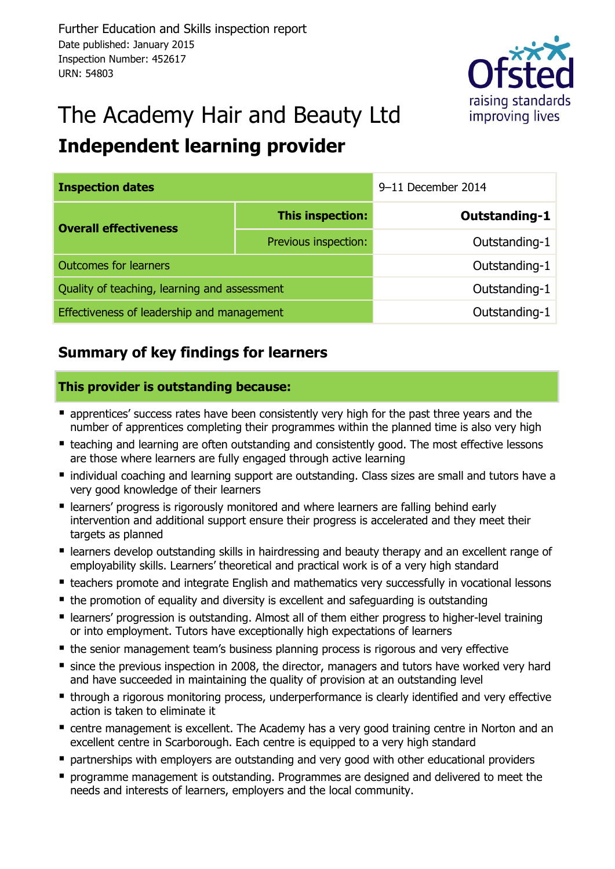

# The Academy Hair and Beauty Ltd **Independent learning provider**

| <b>Inspection dates</b>                      | 9-11 December 2014   |                      |  |  |
|----------------------------------------------|----------------------|----------------------|--|--|
| <b>Overall effectiveness</b>                 | This inspection:     | <b>Outstanding-1</b> |  |  |
|                                              | Previous inspection: | Outstanding-1        |  |  |
| <b>Outcomes for learners</b>                 | Outstanding-1        |                      |  |  |
| Quality of teaching, learning and assessment | Outstanding-1        |                      |  |  |
| Effectiveness of leadership and management   | Outstanding-1        |                      |  |  |

# **Summary of key findings for learners**

#### **This provider is outstanding because:**

- **E** apprentices' success rates have been consistently very high for the past three years and the number of apprentices completing their programmes within the planned time is also very high
- **E** teaching and learning are often outstanding and consistently good. The most effective lessons are those where learners are fully engaged through active learning
- individual coaching and learning support are outstanding. Class sizes are small and tutors have a very good knowledge of their learners
- learners' progress is rigorously monitored and where learners are falling behind early intervention and additional support ensure their progress is accelerated and they meet their targets as planned
- learners develop outstanding skills in hairdressing and beauty therapy and an excellent range of employability skills. Learners' theoretical and practical work is of a very high standard
- **E** teachers promote and integrate English and mathematics very successfully in vocational lessons
- the promotion of equality and diversity is excellent and safeguarding is outstanding
- learners' progression is outstanding. Almost all of them either progress to higher-level training or into employment. Tutors have exceptionally high expectations of learners
- the senior management team's business planning process is rigorous and very effective
- since the previous inspection in 2008, the director, managers and tutors have worked very hard and have succeeded in maintaining the quality of provision at an outstanding level
- **through a rigorous monitoring process, underperformance is clearly identified and very effective** action is taken to eliminate it
- centre management is excellent. The Academy has a very good training centre in Norton and an excellent centre in Scarborough. Each centre is equipped to a very high standard
- **P** partnerships with employers are outstanding and very good with other educational providers
- **•** programme management is outstanding. Programmes are designed and delivered to meet the needs and interests of learners, employers and the local community.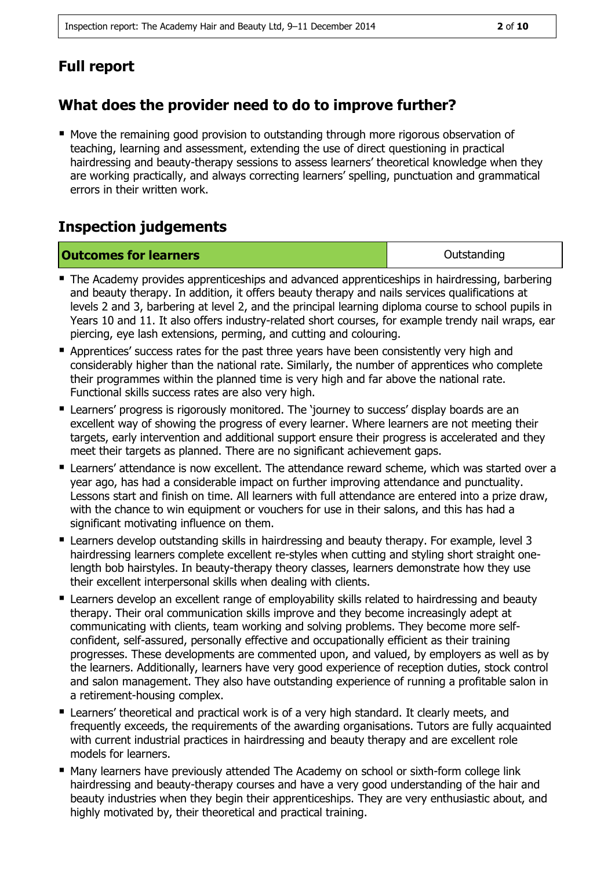# **What does the provider need to do to improve further?**

 Move the remaining good provision to outstanding through more rigorous observation of teaching, learning and assessment, extending the use of direct questioning in practical hairdressing and beauty-therapy sessions to assess learners' theoretical knowledge when they are working practically, and always correcting learners' spelling, punctuation and grammatical errors in their written work.

### **Inspection judgements**

| <b>Outcomes for learners</b> | Outstanding |
|------------------------------|-------------|
|                              |             |

- The Academy provides apprenticeships and advanced apprenticeships in hairdressing, barbering and beauty therapy. In addition, it offers beauty therapy and nails services qualifications at levels 2 and 3, barbering at level 2, and the principal learning diploma course to school pupils in Years 10 and 11. It also offers industry-related short courses, for example trendy nail wraps, ear piercing, eye lash extensions, perming, and cutting and colouring.
- **Apprentices' success rates for the past three years have been consistently very high and** considerably higher than the national rate. Similarly, the number of apprentices who complete their programmes within the planned time is very high and far above the national rate. Functional skills success rates are also very high.
- **E** Learners' progress is rigorously monitored. The 'journey to success' display boards are an excellent way of showing the progress of every learner. Where learners are not meeting their targets, early intervention and additional support ensure their progress is accelerated and they meet their targets as planned. There are no significant achievement gaps.
- **E** Learners' attendance is now excellent. The attendance reward scheme, which was started over a year ago, has had a considerable impact on further improving attendance and punctuality. Lessons start and finish on time. All learners with full attendance are entered into a prize draw, with the chance to win equipment or vouchers for use in their salons, and this has had a significant motivating influence on them.
- **E** Learners develop outstanding skills in hairdressing and beauty therapy. For example, level 3 hairdressing learners complete excellent re-styles when cutting and styling short straight onelength bob hairstyles. In beauty-therapy theory classes, learners demonstrate how they use their excellent interpersonal skills when dealing with clients.
- **E** Learners develop an excellent range of employability skills related to hairdressing and beauty therapy. Their oral communication skills improve and they become increasingly adept at communicating with clients, team working and solving problems. They become more selfconfident, self-assured, personally effective and occupationally efficient as their training progresses. These developments are commented upon, and valued, by employers as well as by the learners. Additionally, learners have very good experience of reception duties, stock control and salon management. They also have outstanding experience of running a profitable salon in a retirement-housing complex.
- Learners' theoretical and practical work is of a very high standard. It clearly meets, and frequently exceeds, the requirements of the awarding organisations. Tutors are fully acquainted with current industrial practices in hairdressing and beauty therapy and are excellent role models for learners.
- Many learners have previously attended The Academy on school or sixth-form college link hairdressing and beauty-therapy courses and have a very good understanding of the hair and beauty industries when they begin their apprenticeships. They are very enthusiastic about, and highly motivated by, their theoretical and practical training.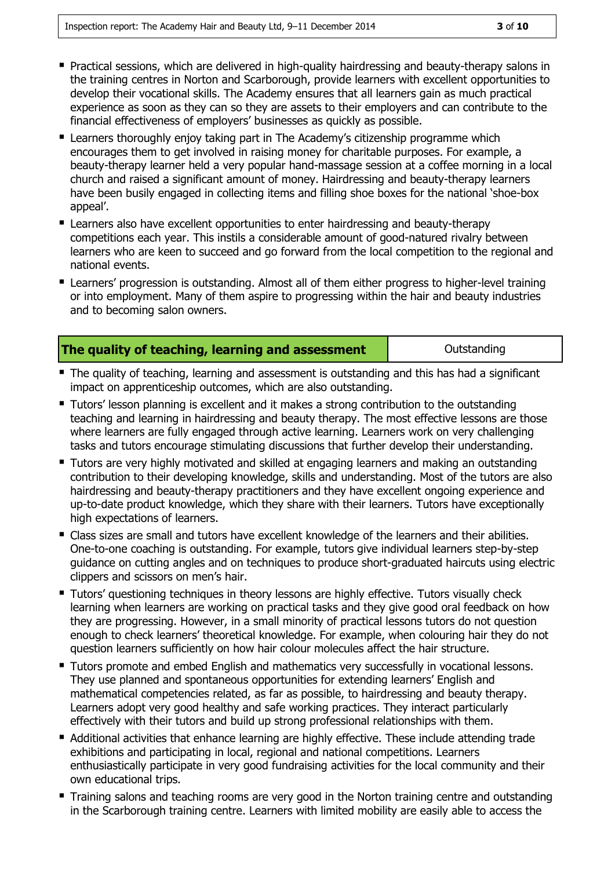- Practical sessions, which are delivered in high-quality hairdressing and beauty-therapy salons in the training centres in Norton and Scarborough, provide learners with excellent opportunities to develop their vocational skills. The Academy ensures that all learners gain as much practical experience as soon as they can so they are assets to their employers and can contribute to the financial effectiveness of employers' businesses as quickly as possible.
- Learners thoroughly enjoy taking part in The Academy's citizenship programme which encourages them to get involved in raising money for charitable purposes. For example, a beauty-therapy learner held a very popular hand-massage session at a coffee morning in a local church and raised a significant amount of money. Hairdressing and beauty-therapy learners have been busily engaged in collecting items and filling shoe boxes for the national 'shoe-box appeal'.
- **E** Learners also have excellent opportunities to enter hairdressing and beauty-therapy competitions each year. This instils a considerable amount of good-natured rivalry between learners who are keen to succeed and go forward from the local competition to the regional and national events.
- Learners' progression is outstanding. Almost all of them either progress to higher-level training or into employment. Many of them aspire to progressing within the hair and beauty industries and to becoming salon owners.

|  |  |  | The quality of teaching, learning and assessment |
|--|--|--|--------------------------------------------------|
|  |  |  |                                                  |

**Outstanding** 

- **The quality of teaching, learning and assessment is outstanding and this has had a significant** impact on apprenticeship outcomes, which are also outstanding.
- **Tutors' lesson planning is excellent and it makes a strong contribution to the outstanding** teaching and learning in hairdressing and beauty therapy. The most effective lessons are those where learners are fully engaged through active learning. Learners work on very challenging tasks and tutors encourage stimulating discussions that further develop their understanding.
- **Tutors are very highly motivated and skilled at engaging learners and making an outstanding** contribution to their developing knowledge, skills and understanding. Most of the tutors are also hairdressing and beauty-therapy practitioners and they have excellent ongoing experience and up-to-date product knowledge, which they share with their learners. Tutors have exceptionally high expectations of learners.
- Class sizes are small and tutors have excellent knowledge of the learners and their abilities. One-to-one coaching is outstanding. For example, tutors give individual learners step-by-step guidance on cutting angles and on techniques to produce short-graduated haircuts using electric clippers and scissors on men's hair.
- **Tutors' questioning techniques in theory lessons are highly effective. Tutors visually check** learning when learners are working on practical tasks and they give good oral feedback on how they are progressing. However, in a small minority of practical lessons tutors do not question enough to check learners' theoretical knowledge. For example, when colouring hair they do not question learners sufficiently on how hair colour molecules affect the hair structure.
- **Tutors promote and embed English and mathematics very successfully in vocational lessons.** They use planned and spontaneous opportunities for extending learners' English and mathematical competencies related, as far as possible, to hairdressing and beauty therapy. Learners adopt very good healthy and safe working practices. They interact particularly effectively with their tutors and build up strong professional relationships with them.
- Additional activities that enhance learning are highly effective. These include attending trade exhibitions and participating in local, regional and national competitions. Learners enthusiastically participate in very good fundraising activities for the local community and their own educational trips.
- **Training salons and teaching rooms are very good in the Norton training centre and outstanding** in the Scarborough training centre. Learners with limited mobility are easily able to access the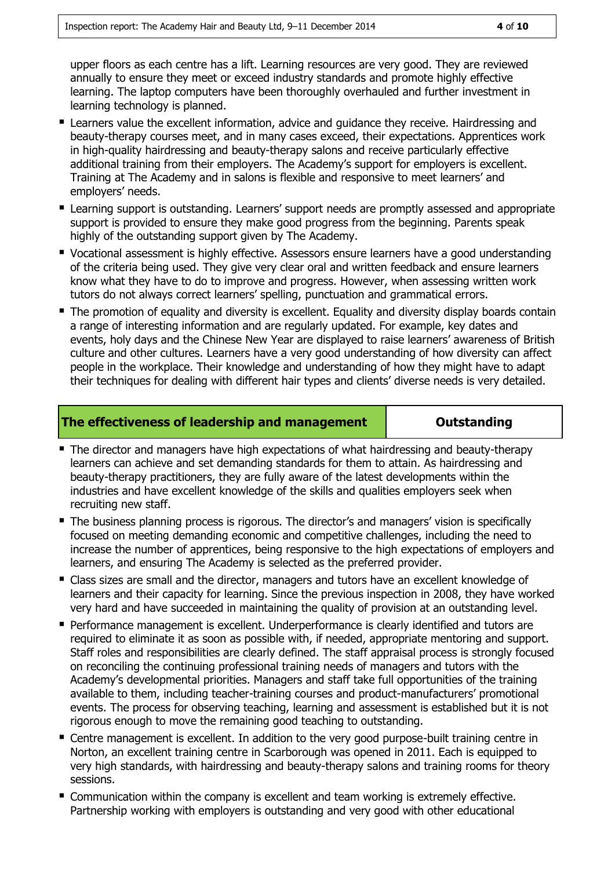upper floors as each centre has a lift. Learning resources are very good. They are reviewed annually to ensure they meet or exceed industry standards and promote highly effective learning. The laptop computers have been thoroughly overhauled and further investment in learning technology is planned.

- **E** Learners value the excellent information, advice and quidance they receive. Hairdressing and beauty-therapy courses meet, and in many cases exceed, their expectations. Apprentices work in high-quality hairdressing and beauty-therapy salons and receive particularly effective additional training from their employers. The Academy's support for employers is excellent. Training at The Academy and in salons is flexible and responsive to meet learners' and employers' needs.
- **E** Learning support is outstanding. Learners' support needs are promptly assessed and appropriate support is provided to ensure they make good progress from the beginning. Parents speak highly of the outstanding support given by The Academy.
- **Vocational assessment is highly effective. Assessors ensure learners have a good understanding** of the criteria being used. They give very clear oral and written feedback and ensure learners know what they have to do to improve and progress. However, when assessing written work tutors do not always correct learners' spelling, punctuation and grammatical errors.
- The promotion of equality and diversity is excellent. Equality and diversity display boards contain a range of interesting information and are regularly updated. For example, key dates and events, holy days and the Chinese New Year are displayed to raise learners' awareness of British culture and other cultures. Learners have a very good understanding of how diversity can affect people in the workplace. Their knowledge and understanding of how they might have to adapt their techniques for dealing with different hair types and clients' diverse needs is very detailed.

#### **The effectiveness of leadership and management | Cutstanding**

- The director and managers have high expectations of what hairdressing and beauty-therapy learners can achieve and set demanding standards for them to attain. As hairdressing and beauty-therapy practitioners, they are fully aware of the latest developments within the industries and have excellent knowledge of the skills and qualities employers seek when recruiting new staff.
- The business planning process is rigorous. The director's and managers' vision is specifically focused on meeting demanding economic and competitive challenges, including the need to increase the number of apprentices, being responsive to the high expectations of employers and learners, and ensuring The Academy is selected as the preferred provider.
- Class sizes are small and the director, managers and tutors have an excellent knowledge of learners and their capacity for learning. Since the previous inspection in 2008, they have worked very hard and have succeeded in maintaining the quality of provision at an outstanding level.
- Performance management is excellent. Underperformance is clearly identified and tutors are required to eliminate it as soon as possible with, if needed, appropriate mentoring and support. Staff roles and responsibilities are clearly defined. The staff appraisal process is strongly focused on reconciling the continuing professional training needs of managers and tutors with the Academy's developmental priorities. Managers and staff take full opportunities of the training available to them, including teacher-training courses and product-manufacturers' promotional events. The process for observing teaching, learning and assessment is established but it is not rigorous enough to move the remaining good teaching to outstanding.
- **E** Centre management is excellent. In addition to the very good purpose-built training centre in Norton, an excellent training centre in Scarborough was opened in 2011. Each is equipped to very high standards, with hairdressing and beauty-therapy salons and training rooms for theory sessions.
- Communication within the company is excellent and team working is extremely effective. Partnership working with employers is outstanding and very good with other educational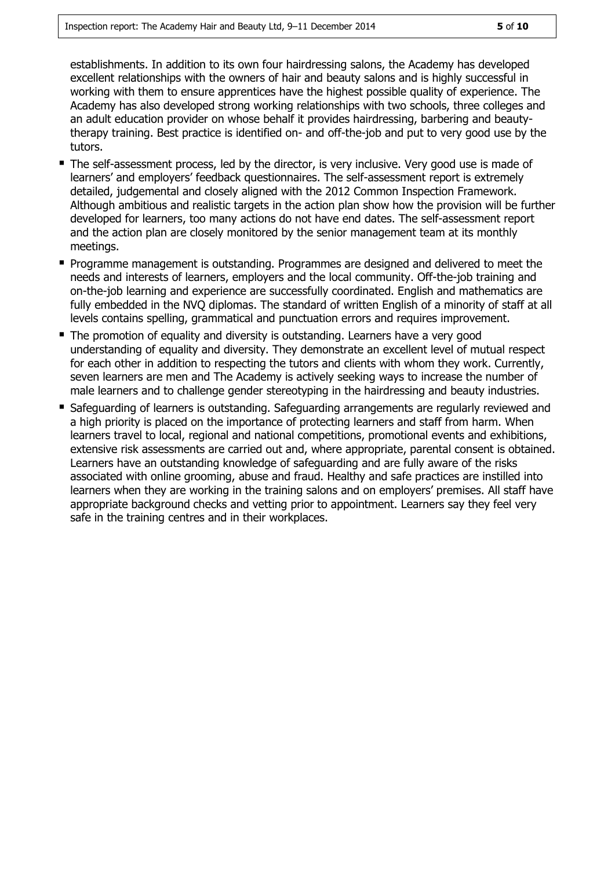establishments. In addition to its own four hairdressing salons, the Academy has developed excellent relationships with the owners of hair and beauty salons and is highly successful in working with them to ensure apprentices have the highest possible quality of experience. The Academy has also developed strong working relationships with two schools, three colleges and an adult education provider on whose behalf it provides hairdressing, barbering and beautytherapy training. Best practice is identified on- and off-the-job and put to very good use by the tutors.

- The self-assessment process, led by the director, is very inclusive. Very good use is made of learners' and employers' feedback questionnaires. The self-assessment report is extremely detailed, judgemental and closely aligned with the 2012 Common Inspection Framework. Although ambitious and realistic targets in the action plan show how the provision will be further developed for learners, too many actions do not have end dates. The self-assessment report and the action plan are closely monitored by the senior management team at its monthly meetings.
- **Programme management is outstanding. Programmes are designed and delivered to meet the** needs and interests of learners, employers and the local community. Off-the-job training and on-the-job learning and experience are successfully coordinated. English and mathematics are fully embedded in the NVQ diplomas. The standard of written English of a minority of staff at all levels contains spelling, grammatical and punctuation errors and requires improvement.
- The promotion of equality and diversity is outstanding. Learners have a very good understanding of equality and diversity. They demonstrate an excellent level of mutual respect for each other in addition to respecting the tutors and clients with whom they work. Currently, seven learners are men and The Academy is actively seeking ways to increase the number of male learners and to challenge gender stereotyping in the hairdressing and beauty industries.
- **Safeguarding of learners is outstanding. Safeguarding arrangements are regularly reviewed and Start** a high priority is placed on the importance of protecting learners and staff from harm. When learners travel to local, regional and national competitions, promotional events and exhibitions, extensive risk assessments are carried out and, where appropriate, parental consent is obtained. Learners have an outstanding knowledge of safeguarding and are fully aware of the risks associated with online grooming, abuse and fraud. Healthy and safe practices are instilled into learners when they are working in the training salons and on employers' premises. All staff have appropriate background checks and vetting prior to appointment. Learners say they feel very safe in the training centres and in their workplaces.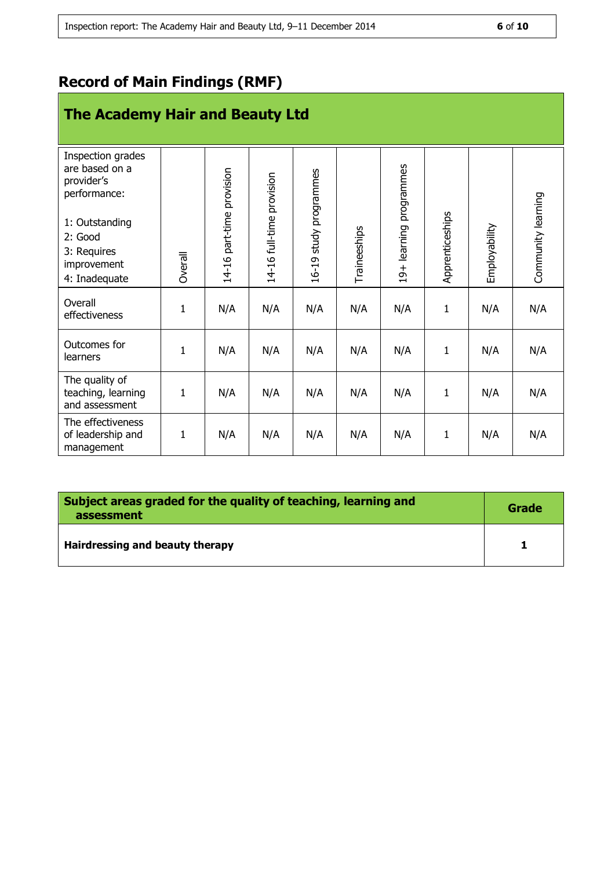# **Record of Main Findings (RMF)**

# **The Academy Hair and Beauty Ltd**

| Inspection grades<br>are based on a<br>provider's<br>performance:<br>1: Outstanding<br>2: Good<br>3: Requires<br>improvement<br>4: Inadequate | <b>Overall</b> | 14-16 part-time provision | 14-16 full-time provision | 16-19 study programmes | Traineeships | 19+ learning programmes | Apprenticeships | Employability | Community learning |
|-----------------------------------------------------------------------------------------------------------------------------------------------|----------------|---------------------------|---------------------------|------------------------|--------------|-------------------------|-----------------|---------------|--------------------|
| Overall<br>effectiveness                                                                                                                      | $\mathbf{1}$   | N/A                       | N/A                       | N/A                    | N/A          | N/A                     | $\mathbf{1}$    | N/A           | N/A                |
| Outcomes for<br>learners                                                                                                                      | 1              | N/A                       | N/A                       | N/A                    | N/A          | N/A                     | $\mathbf{1}$    | N/A           | N/A                |
| The quality of<br>teaching, learning<br>and assessment                                                                                        | $\mathbf{1}$   | N/A                       | N/A                       | N/A                    | N/A          | N/A                     | $\mathbf{1}$    | N/A           | N/A                |
| The effectiveness<br>of leadership and<br>management                                                                                          | $\mathbf{1}$   | N/A                       | N/A                       | N/A                    | N/A          | N/A                     | $\mathbf{1}$    | N/A           | N/A                |

| Subject areas graded for the quality of teaching, learning and<br>assessment | Grade |  |
|------------------------------------------------------------------------------|-------|--|
| Hairdressing and beauty therapy                                              |       |  |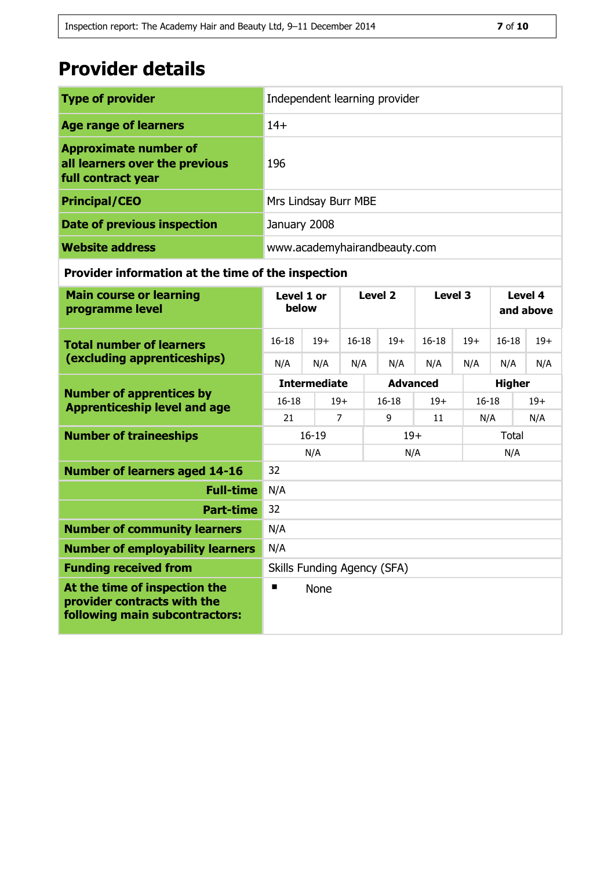# **Provider details**

| <b>Type of provider</b>                                                              | Independent learning provider |
|--------------------------------------------------------------------------------------|-------------------------------|
| <b>Age range of learners</b>                                                         | $14+$                         |
| <b>Approximate number of</b><br>all learners over the previous<br>full contract year | 196                           |
| <b>Principal/CEO</b>                                                                 | Mrs Lindsay Burr MBE          |
| <b>Date of previous inspection</b>                                                   | January 2008                  |
| <b>Website address</b>                                                               | www.academyhairandbeauty.com  |

#### **Provider information at the time of the inspection**

| <b>Main course or learning</b><br>programme level                                              | Level 1 or<br>below         |       | Level <sub>2</sub> |                 | Level 3 |               | Level 4<br>and above |       |  |
|------------------------------------------------------------------------------------------------|-----------------------------|-------|--------------------|-----------------|---------|---------------|----------------------|-------|--|
| <b>Total number of learners</b>                                                                | $16 - 18$                   | $19+$ | $16 - 18$          | $19+$           | $16-18$ | $19+$         | $16 - 18$            | $19+$ |  |
| (excluding apprenticeships)                                                                    | N/A                         | N/A   | N/A                | N/A             | N/A     | N/A           | N/A                  | N/A   |  |
|                                                                                                | <b>Intermediate</b>         |       |                    | <b>Advanced</b> |         | <b>Higher</b> |                      |       |  |
| <b>Number of apprentices by</b><br><b>Apprenticeship level and age</b>                         | $16 - 18$                   |       | $19+$              | $16-18$         | $19+$   | $16 - 18$     |                      | $19+$ |  |
|                                                                                                | 21                          |       | $\overline{7}$     | 9               | 11      | N/A           |                      | N/A   |  |
| <b>Number of traineeships</b>                                                                  | $16 - 19$                   |       |                    | $19+$           |         |               | Total                |       |  |
|                                                                                                | N/A                         |       |                    | N/A             |         |               | N/A                  |       |  |
| <b>Number of learners aged 14-16</b>                                                           | 32                          |       |                    |                 |         |               |                      |       |  |
| <b>Full-time</b>                                                                               | N/A                         |       |                    |                 |         |               |                      |       |  |
| <b>Part-time</b>                                                                               | 32                          |       |                    |                 |         |               |                      |       |  |
| <b>Number of community learners</b>                                                            | N/A                         |       |                    |                 |         |               |                      |       |  |
| <b>Number of employability learners</b>                                                        | N/A                         |       |                    |                 |         |               |                      |       |  |
| <b>Funding received from</b>                                                                   | Skills Funding Agency (SFA) |       |                    |                 |         |               |                      |       |  |
| At the time of inspection the<br>provider contracts with the<br>following main subcontractors: | п<br>None                   |       |                    |                 |         |               |                      |       |  |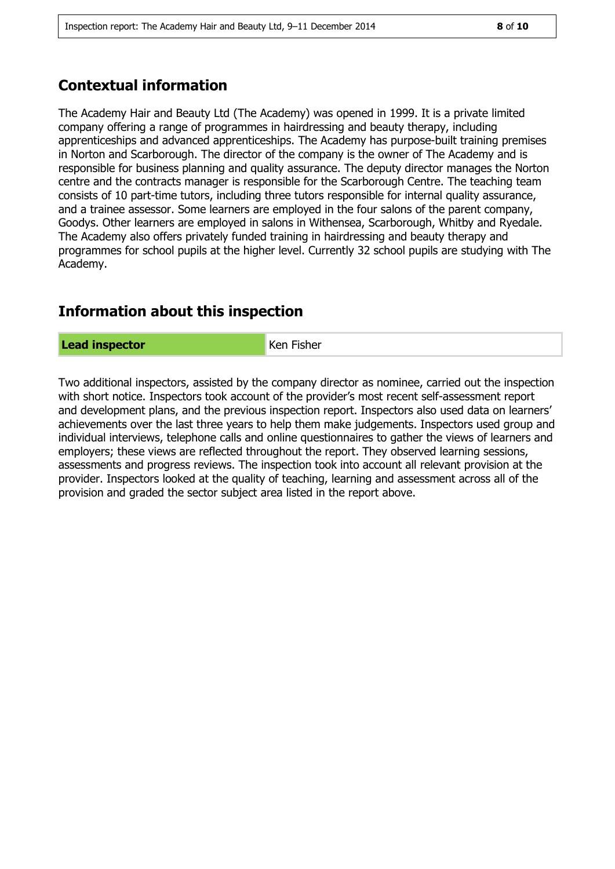# **Contextual information**

The Academy Hair and Beauty Ltd (The Academy) was opened in 1999. It is a private limited company offering a range of programmes in hairdressing and beauty therapy, including apprenticeships and advanced apprenticeships. The Academy has purpose-built training premises in Norton and Scarborough. The director of the company is the owner of The Academy and is responsible for business planning and quality assurance. The deputy director manages the Norton centre and the contracts manager is responsible for the Scarborough Centre. The teaching team consists of 10 part-time tutors, including three tutors responsible for internal quality assurance, and a trainee assessor. Some learners are employed in the four salons of the parent company, Goodys. Other learners are employed in salons in Withensea, Scarborough, Whitby and Ryedale. The Academy also offers privately funded training in hairdressing and beauty therapy and programmes for school pupils at the higher level. Currently 32 school pupils are studying with The Academy.

## **Information about this inspection**

**Lead inspector Ken Fisher** 

Two additional inspectors, assisted by the company director as nominee, carried out the inspection with short notice. Inspectors took account of the provider's most recent self-assessment report and development plans, and the previous inspection report. Inspectors also used data on learners' achievements over the last three years to help them make judgements. Inspectors used group and individual interviews, telephone calls and online questionnaires to gather the views of learners and employers; these views are reflected throughout the report. They observed learning sessions, assessments and progress reviews. The inspection took into account all relevant provision at the provider. Inspectors looked at the quality of teaching, learning and assessment across all of the provision and graded the sector subject area listed in the report above.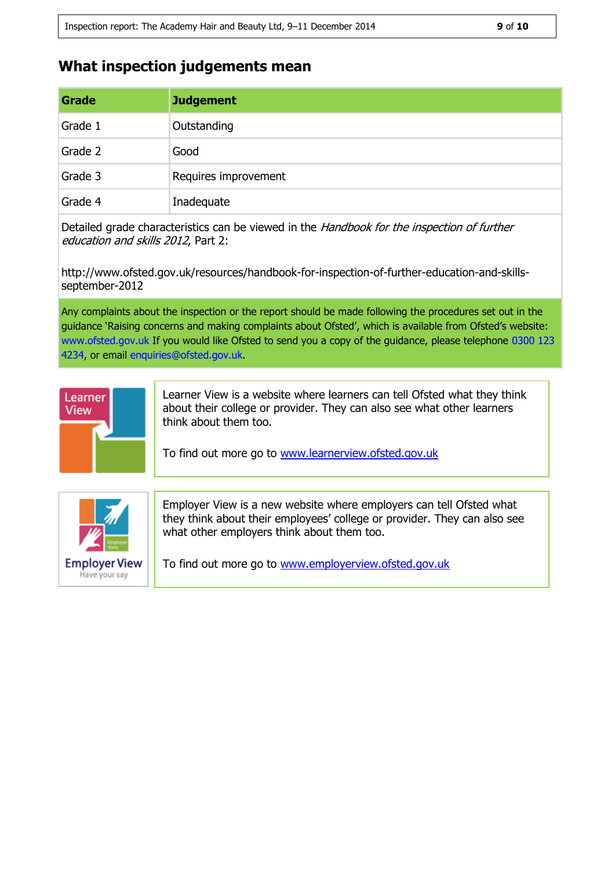### **What inspection judgements mean**

| Grade   | <b>Judgement</b>     |
|---------|----------------------|
| Grade 1 | Outstanding          |
| Grade 2 | Good                 |
| Grade 3 | Requires improvement |
| Grade 4 | Inadequate           |

Detailed grade characteristics can be viewed in the Handbook for the inspection of further education and skills 2012, Part 2:

http://www.ofsted.gov.uk/resources/handbook-for-inspection-of-further-education-and-skillsseptember-2012

Any complaints about the inspection or the report should be made following the procedures set out in the guidance 'Raising concerns and making complaints about Ofsted', which is available from Ofsted's website: www.ofsted.gov.uk If you would like Ofsted to send you a copy of the guidance, please telephone 0300 123 4234, or email enquiries@ofsted.gov.uk.



Learner View is a website where learners can tell Ofsted what they think about their college or provider. They can also see what other learners think about them too.

To find out more go to [www.learnerview.ofsted.gov.uk](http://www.learnerview.ofsted.gov.uk/)



Employer View is a new website where employers can tell Ofsted what they think about their employees' college or provider. They can also see what other employers think about them too.

To find out more go to [www.employerview.ofsted.gov.uk](http://www.employerview.ofsted.gov.uk/)